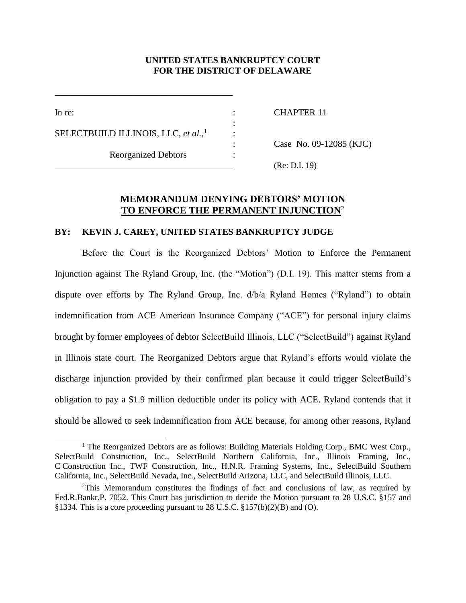# **UNITED STATES BANKRUPTCY COURT FOR THE DISTRICT OF DELAWARE**

:

:

 $\overline{a}$ 

In re: CHAPTER 11

SELECTBUILD ILLINOIS, LLC, *et al.*, 1

Reorganized Debtors :

\_\_\_\_\_\_\_\_\_\_\_\_\_\_\_\_\_\_\_\_\_\_\_\_\_\_\_\_\_\_\_\_\_\_\_\_\_\_\_

: Case No. 09-12085 (KJC)

\_\_\_\_\_\_\_\_\_\_\_\_\_\_\_\_\_\_\_\_\_\_\_\_\_\_\_\_\_\_\_\_\_\_\_\_\_\_\_ (Re: D.I. 19)

# **MEMORANDUM DENYING DEBTORS' MOTION TO ENFORCE THE PERMANENT INJUNCTION**<sup>2</sup>

#### **BY: KEVIN J. CAREY, UNITED STATES BANKRUPTCY JUDGE**

Before the Court is the Reorganized Debtors' Motion to Enforce the Permanent Injunction against The Ryland Group, Inc. (the "Motion") (D.I. 19). This matter stems from a dispute over efforts by The Ryland Group, Inc. d/b/a Ryland Homes ("Ryland") to obtain indemnification from ACE American Insurance Company ("ACE") for personal injury claims brought by former employees of debtor SelectBuild Illinois, LLC ("SelectBuild") against Ryland in Illinois state court. The Reorganized Debtors argue that Ryland's efforts would violate the discharge injunction provided by their confirmed plan because it could trigger SelectBuild's obligation to pay a \$1.9 million deductible under its policy with ACE. Ryland contends that it should be allowed to seek indemnification from ACE because, for among other reasons, Ryland

<sup>&</sup>lt;sup>1</sup> The Reorganized Debtors are as follows: Building Materials Holding Corp., BMC West Corp., SelectBuild Construction, Inc., SelectBuild Northern California, Inc., Illinois Framing, Inc., C Construction Inc., TWF Construction, Inc., H.N.R. Framing Systems, Inc., SelectBuild Southern California, Inc., SelectBuild Nevada, Inc., SelectBuild Arizona, LLC, and SelectBuild Illinois, LLC.

<sup>2</sup>This Memorandum constitutes the findings of fact and conclusions of law, as required by Fed.R.Bankr.P. 7052. This Court has jurisdiction to decide the Motion pursuant to 28 U.S.C. §157 and §1334. This is a core proceeding pursuant to 28 U.S.C. §157(b)(2)(B) and (O).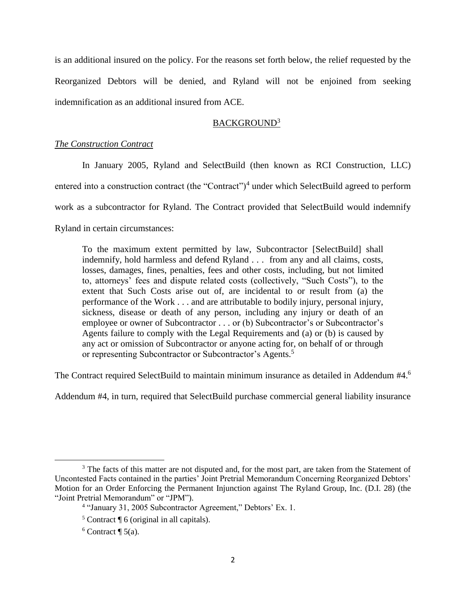is an additional insured on the policy. For the reasons set forth below, the relief requested by the Reorganized Debtors will be denied, and Ryland will not be enjoined from seeking indemnification as an additional insured from ACE.

# BACKGROUND<sup>3</sup>

### *The Construction Contract*

In January 2005, Ryland and SelectBuild (then known as RCI Construction, LLC) entered into a construction contract (the "Contract")<sup>4</sup> under which SelectBuild agreed to perform work as a subcontractor for Ryland. The Contract provided that SelectBuild would indemnify Ryland in certain circumstances:

To the maximum extent permitted by law, Subcontractor [SelectBuild] shall indemnify, hold harmless and defend Ryland . . . from any and all claims, costs, losses, damages, fines, penalties, fees and other costs, including, but not limited to, attorneys' fees and dispute related costs (collectively, "Such Costs"), to the extent that Such Costs arise out of, are incidental to or result from (a) the performance of the Work . . . and are attributable to bodily injury, personal injury, sickness, disease or death of any person, including any injury or death of an employee or owner of Subcontractor . . . or (b) Subcontractor's or Subcontractor's Agents failure to comply with the Legal Requirements and (a) or (b) is caused by any act or omission of Subcontractor or anyone acting for, on behalf of or through or representing Subcontractor or Subcontractor's Agents.<sup>5</sup>

The Contract required SelectBuild to maintain minimum insurance as detailed in Addendum #4.<sup>6</sup>

Addendum #4, in turn, required that SelectBuild purchase commercial general liability insurance

 $\overline{\phantom{a}}$ <sup>3</sup> The facts of this matter are not disputed and, for the most part, are taken from the Statement of Uncontested Facts contained in the parties' Joint Pretrial Memorandum Concerning Reorganized Debtors' Motion for an Order Enforcing the Permanent Injunction against The Ryland Group, Inc. (D.I. 28) (the "Joint Pretrial Memorandum" or "JPM").

<sup>4</sup> "January 31, 2005 Subcontractor Agreement," Debtors' Ex. 1.

 $<sup>5</sup>$  Contract  $\lceil \sqrt{6} \cdot \sqrt{6} \rceil$  (original in all capitals).</sup>

 $6$  Contract  $\P$  5(a).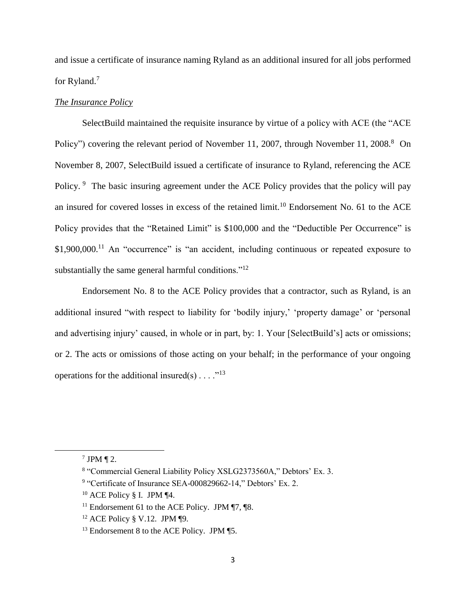and issue a certificate of insurance naming Ryland as an additional insured for all jobs performed for Ryland.<sup>7</sup>

# *The Insurance Policy*

SelectBuild maintained the requisite insurance by virtue of a policy with ACE (the "ACE Policy") covering the relevant period of November 11, 2007, through November 11, 2008.<sup>8</sup> On November 8, 2007, SelectBuild issued a certificate of insurance to Ryland, referencing the ACE Policy. <sup>9</sup> The basic insuring agreement under the ACE Policy provides that the policy will pay an insured for covered losses in excess of the retained limit.<sup>10</sup> Endorsement No. 61 to the ACE Policy provides that the "Retained Limit" is \$100,000 and the "Deductible Per Occurrence" is \$1,900,000.<sup>11</sup> An "occurrence" is "an accident, including continuous or repeated exposure to substantially the same general harmful conditions."<sup>12</sup>

Endorsement No. 8 to the ACE Policy provides that a contractor, such as Ryland, is an additional insured "with respect to liability for 'bodily injury,' 'property damage' or 'personal and advertising injury' caused, in whole or in part, by: 1. Your [SelectBuild's] acts or omissions; or 2. The acts or omissions of those acting on your behalf; in the performance of your ongoing operations for the additional insured(s)  $\dots$  ."<sup>13</sup>

 $7$  JPM  $\P$  2.

<sup>&</sup>lt;sup>8</sup> "Commercial General Liability Policy XSLG2373560A," Debtors' Ex. 3.

<sup>&</sup>lt;sup>9</sup> "Certificate of Insurance SEA-000829662-14," Debtors' Ex. 2.

 $10$  ACE Policy § I. JPM ¶4.

<sup>&</sup>lt;sup>11</sup> Endorsement 61 to the ACE Policy. JPM  $\P$ 7,  $\P$ 8.

 $12$  ACE Policy § V.12. JPM ¶9.

<sup>&</sup>lt;sup>13</sup> Endorsement 8 to the ACE Policy. JPM ¶5.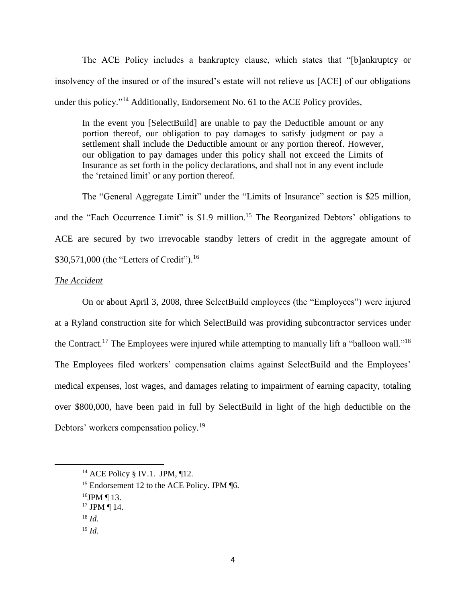The ACE Policy includes a bankruptcy clause, which states that "[b]ankruptcy or insolvency of the insured or of the insured's estate will not relieve us [ACE] of our obligations under this policy."<sup>14</sup> Additionally, Endorsement No. 61 to the ACE Policy provides,

In the event you [SelectBuild] are unable to pay the Deductible amount or any portion thereof, our obligation to pay damages to satisfy judgment or pay a settlement shall include the Deductible amount or any portion thereof. However, our obligation to pay damages under this policy shall not exceed the Limits of Insurance as set forth in the policy declarations, and shall not in any event include the 'retained limit' or any portion thereof.

The "General Aggregate Limit" under the "Limits of Insurance" section is \$25 million, and the "Each Occurrence Limit" is \$1.9 million.<sup>15</sup> The Reorganized Debtors' obligations to ACE are secured by two irrevocable standby letters of credit in the aggregate amount of \$30,571,000 (the "Letters of Credit").<sup>16</sup>

## *The Accident*

On or about April 3, 2008, three SelectBuild employees (the "Employees") were injured at a Ryland construction site for which SelectBuild was providing subcontractor services under the Contract.<sup>17</sup> The Employees were injured while attempting to manually lift a "balloon wall."<sup>18</sup> The Employees filed workers' compensation claims against SelectBuild and the Employees' medical expenses, lost wages, and damages relating to impairment of earning capacity, totaling over \$800,000, have been paid in full by SelectBuild in light of the high deductible on the Debtors' workers compensation policy.<sup>19</sup>

<sup>&</sup>lt;sup>14</sup> ACE Policy § IV.1. JPM, ¶12.

<sup>&</sup>lt;sup>15</sup> Endorsement 12 to the ACE Policy. JPM ¶6.

 $16$ JPM ¶ 13.

<sup>&</sup>lt;sup>17</sup> JPM ¶ 14.

<sup>18</sup> *Id.*

<sup>19</sup> *Id.*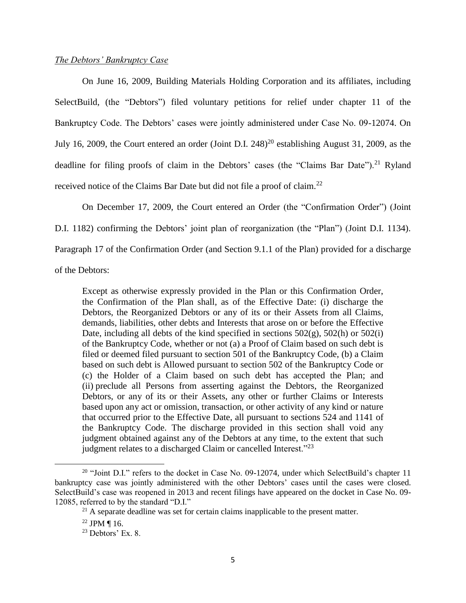#### *The Debtors' Bankruptcy Case*

On June 16, 2009, Building Materials Holding Corporation and its affiliates, including SelectBuild, (the "Debtors") filed voluntary petitions for relief under chapter 11 of the Bankruptcy Code. The Debtors' cases were jointly administered under Case No. 09-12074. On July 16, 2009, the Court entered an order (Joint D.I.  $248)^{20}$  establishing August 31, 2009, as the deadline for filing proofs of claim in the Debtors' cases (the "Claims Bar Date").<sup>21</sup> Ryland received notice of the Claims Bar Date but did not file a proof of claim.<sup>22</sup>

On December 17, 2009, the Court entered an Order (the "Confirmation Order") (Joint

D.I. 1182) confirming the Debtors' joint plan of reorganization (the "Plan") (Joint D.I. 1134).

Paragraph 17 of the Confirmation Order (and Section 9.1.1 of the Plan) provided for a discharge

of the Debtors:

Except as otherwise expressly provided in the Plan or this Confirmation Order, the Confirmation of the Plan shall, as of the Effective Date: (i) discharge the Debtors, the Reorganized Debtors or any of its or their Assets from all Claims, demands, liabilities, other debts and Interests that arose on or before the Effective Date, including all debts of the kind specified in sections  $502(g)$ ,  $502(h)$  or  $502(i)$ of the Bankruptcy Code, whether or not (a) a Proof of Claim based on such debt is filed or deemed filed pursuant to section 501 of the Bankruptcy Code, (b) a Claim based on such debt is Allowed pursuant to section 502 of the Bankruptcy Code or (c) the Holder of a Claim based on such debt has accepted the Plan; and (ii) preclude all Persons from asserting against the Debtors, the Reorganized Debtors, or any of its or their Assets, any other or further Claims or Interests based upon any act or omission, transaction, or other activity of any kind or nature that occurred prior to the Effective Date, all pursuant to sections 524 and 1141 of the Bankruptcy Code. The discharge provided in this section shall void any judgment obtained against any of the Debtors at any time, to the extent that such judgment relates to a discharged Claim or cancelled Interest."<sup>23</sup>

l

<sup>&</sup>lt;sup>20</sup> "Joint D.I." refers to the docket in Case No. 09-12074, under which SelectBuild's chapter 11 bankruptcy case was jointly administered with the other Debtors' cases until the cases were closed. SelectBuild's case was reopened in 2013 and recent filings have appeared on the docket in Case No. 09- 12085, referred to by the standard "D.I."

 $^{21}$  A separate deadline was set for certain claims inapplicable to the present matter.

 $22$  JPM ¶ 16.

 $23$  Debtors' Ex. 8.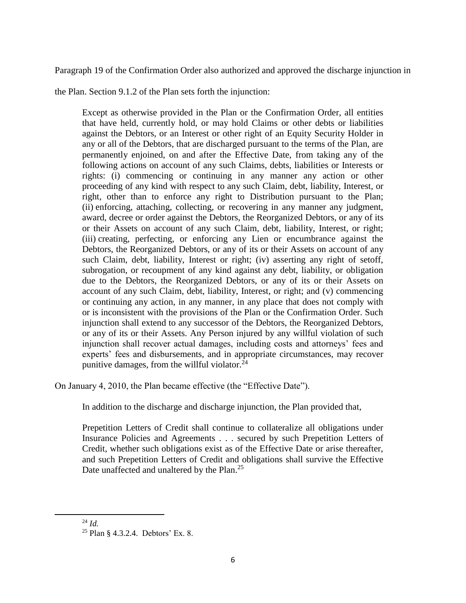Paragraph 19 of the Confirmation Order also authorized and approved the discharge injunction in

the Plan. Section 9.1.2 of the Plan sets forth the injunction:

Except as otherwise provided in the Plan or the Confirmation Order, all entities that have held, currently hold, or may hold Claims or other debts or liabilities against the Debtors, or an Interest or other right of an Equity Security Holder in any or all of the Debtors, that are discharged pursuant to the terms of the Plan, are permanently enjoined, on and after the Effective Date, from taking any of the following actions on account of any such Claims, debts, liabilities or Interests or rights: (i) commencing or continuing in any manner any action or other proceeding of any kind with respect to any such Claim, debt, liability, Interest, or right, other than to enforce any right to Distribution pursuant to the Plan; (ii) enforcing, attaching, collecting, or recovering in any manner any judgment, award, decree or order against the Debtors, the Reorganized Debtors, or any of its or their Assets on account of any such Claim, debt, liability, Interest, or right; (iii) creating, perfecting, or enforcing any Lien or encumbrance against the Debtors, the Reorganized Debtors, or any of its or their Assets on account of any such Claim, debt, liability, Interest or right; (iv) asserting any right of setoff, subrogation, or recoupment of any kind against any debt, liability, or obligation due to the Debtors, the Reorganized Debtors, or any of its or their Assets on account of any such Claim, debt, liability, Interest, or right; and (v) commencing or continuing any action, in any manner, in any place that does not comply with or is inconsistent with the provisions of the Plan or the Confirmation Order. Such injunction shall extend to any successor of the Debtors, the Reorganized Debtors, or any of its or their Assets. Any Person injured by any willful violation of such injunction shall recover actual damages, including costs and attorneys' fees and experts' fees and disbursements, and in appropriate circumstances, may recover punitive damages, from the willful violator. $^{24}$ 

On January 4, 2010, the Plan became effective (the "Effective Date").

In addition to the discharge and discharge injunction, the Plan provided that,

Prepetition Letters of Credit shall continue to collateralize all obligations under Insurance Policies and Agreements . . . secured by such Prepetition Letters of Credit, whether such obligations exist as of the Effective Date or arise thereafter, and such Prepetition Letters of Credit and obligations shall survive the Effective Date unaffected and unaltered by the Plan.<sup>25</sup>

<sup>24</sup> *Id.*

<sup>25</sup> Plan § 4.3.2.4. Debtors' Ex. 8.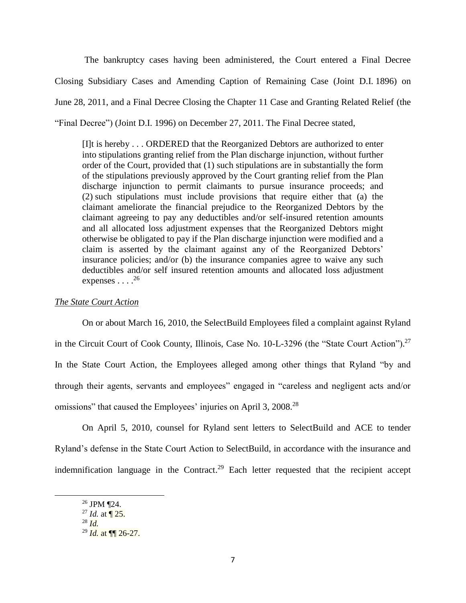The bankruptcy cases having been administered, the Court entered a Final Decree Closing Subsidiary Cases and Amending Caption of Remaining Case (Joint D.I. 1896) on June 28, 2011, and a Final Decree Closing the Chapter 11 Case and Granting Related Relief (the "Final Decree") (Joint D.I. 1996) on December 27, 2011. The Final Decree stated,

[I]t is hereby . . . ORDERED that the Reorganized Debtors are authorized to enter into stipulations granting relief from the Plan discharge injunction, without further order of the Court, provided that (1) such stipulations are in substantially the form of the stipulations previously approved by the Court granting relief from the Plan discharge injunction to permit claimants to pursue insurance proceeds; and (2) such stipulations must include provisions that require either that (a) the claimant ameliorate the financial prejudice to the Reorganized Debtors by the claimant agreeing to pay any deductibles and/or self-insured retention amounts and all allocated loss adjustment expenses that the Reorganized Debtors might otherwise be obligated to pay if the Plan discharge injunction were modified and a claim is asserted by the claimant against any of the Reorganized Debtors' insurance policies; and/or (b) the insurance companies agree to waive any such deductibles and/or self insured retention amounts and allocated loss adjustment expenses  $\ldots$ .<sup>26</sup>

#### *The State Court Action*

On or about March 16, 2010, the SelectBuild Employees filed a complaint against Ryland in the Circuit Court of Cook County, Illinois, Case No. 10-L-3296 (the "State Court Action").<sup>27</sup> In the State Court Action, the Employees alleged among other things that Ryland "by and through their agents, servants and employees" engaged in "careless and negligent acts and/or omissions" that caused the Employees' injuries on April 3, 2008.<sup>28</sup>

On April 5, 2010, counsel for Ryland sent letters to SelectBuild and ACE to tender Ryland's defense in the State Court Action to SelectBuild, in accordance with the insurance and indemnification language in the Contract.<sup>29</sup> Each letter requested that the recipient accept

<sup>26</sup> JPM ¶24.

 $^{27}$  *Id.* at  $\P$  25.

<sup>28</sup> *Id.*

<sup>29</sup> *Id.* at ¶¶ 26-27.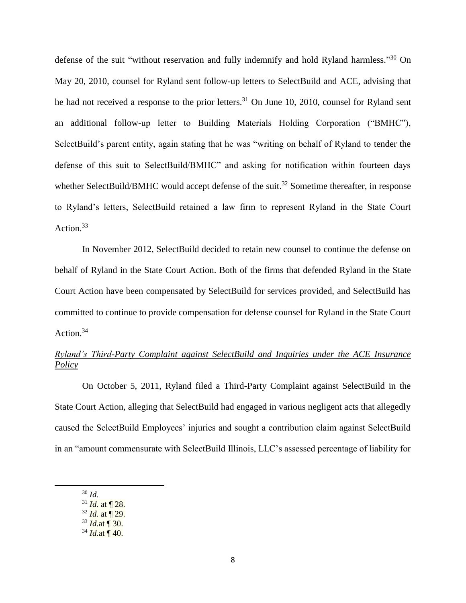defense of the suit "without reservation and fully indemnify and hold Ryland harmless."<sup>30</sup> On May 20, 2010, counsel for Ryland sent follow-up letters to SelectBuild and ACE, advising that he had not received a response to the prior letters.<sup>31</sup> On June 10, 2010, counsel for Ryland sent an additional follow-up letter to Building Materials Holding Corporation ("BMHC"), SelectBuild's parent entity, again stating that he was "writing on behalf of Ryland to tender the defense of this suit to SelectBuild/BMHC" and asking for notification within fourteen days whether SelectBuild/BMHC would accept defense of the suit.<sup>32</sup> Sometime thereafter, in response to Ryland's letters, SelectBuild retained a law firm to represent Ryland in the State Court Action.<sup>33</sup>

In November 2012, SelectBuild decided to retain new counsel to continue the defense on behalf of Ryland in the State Court Action. Both of the firms that defended Ryland in the State Court Action have been compensated by SelectBuild for services provided, and SelectBuild has committed to continue to provide compensation for defense counsel for Ryland in the State Court Action.<sup>34</sup>

# *Ryland's Third-Party Complaint against SelectBuild and Inquiries under the ACE Insurance Policy*

On October 5, 2011, Ryland filed a Third-Party Complaint against SelectBuild in the State Court Action, alleging that SelectBuild had engaged in various negligent acts that allegedly caused the SelectBuild Employees' injuries and sought a contribution claim against SelectBuild in an "amount commensurate with SelectBuild Illinois, LLC's assessed percentage of liability for

<sup>30</sup> *Id.*

<sup>31</sup> *Id.* at ¶ 28.

<sup>32</sup> *Id.* at ¶ 29.

<sup>33</sup> *Id.*at ¶ 30.

 $34$  *Id.*at ¶ 40.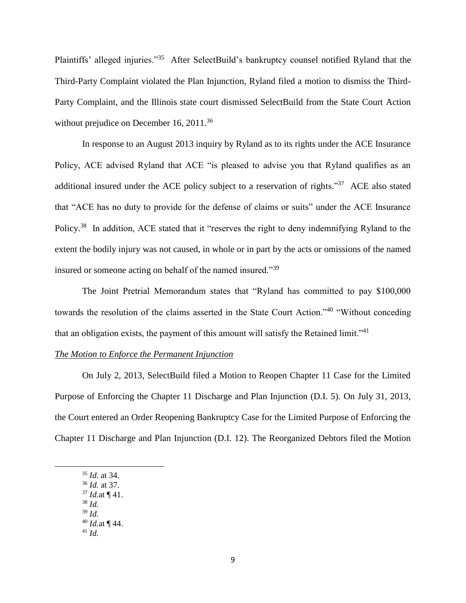Plaintiffs' alleged injuries."<sup>35</sup> After SelectBuild's bankruptcy counsel notified Ryland that the Third-Party Complaint violated the Plan Injunction, Ryland filed a motion to dismiss the Third-Party Complaint, and the Illinois state court dismissed SelectBuild from the State Court Action without prejudice on December 16, 2011.<sup>36</sup>

In response to an August 2013 inquiry by Ryland as to its rights under the ACE Insurance Policy, ACE advised Ryland that ACE "is pleased to advise you that Ryland qualifies as an additional insured under the ACE policy subject to a reservation of rights."<sup>37</sup> ACE also stated that "ACE has no duty to provide for the defense of claims or suits" under the ACE Insurance Policy.<sup>38</sup> In addition, ACE stated that it "reserves the right to deny indemnifying Ryland to the extent the bodily injury was not caused, in whole or in part by the acts or omissions of the named insured or someone acting on behalf of the named insured."<sup>39</sup>

The Joint Pretrial Memorandum states that "Ryland has committed to pay \$100,000 towards the resolution of the claims asserted in the State Court Action."<sup>40</sup> "Without conceding that an obligation exists, the payment of this amount will satisfy the Retained limit."<sup>41</sup>

#### *The Motion to Enforce the Permanent Injunction*

On July 2, 2013, SelectBuild filed a Motion to Reopen Chapter 11 Case for the Limited Purpose of Enforcing the Chapter 11 Discharge and Plan Injunction (D.I. 5). On July 31, 2013, the Court entered an Order Reopening Bankruptcy Case for the Limited Purpose of Enforcing the Chapter 11 Discharge and Plan Injunction (D.I. 12). The Reorganized Debtors filed the Motion

<sup>35</sup> *Id.* at 34. <sup>36</sup> *Id.* at 37.

l

- <sup>37</sup> *Id.*at ¶ 41.
- <sup>38</sup> *Id.*
- <sup>39</sup> *Id.*
- <sup>40</sup> *Id.*at ¶ 44.
- <sup>41</sup> *Id.*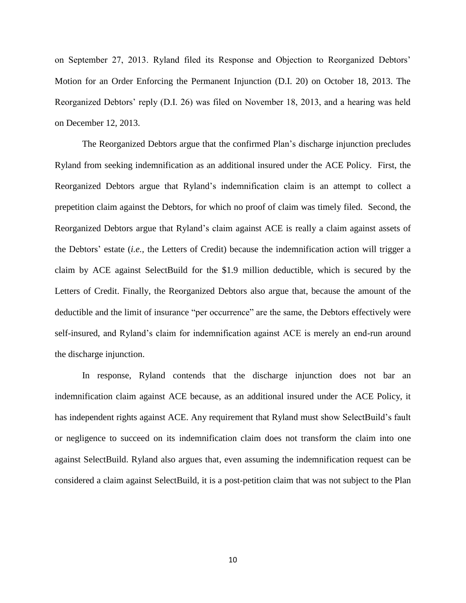on September 27, 2013. Ryland filed its Response and Objection to Reorganized Debtors' Motion for an Order Enforcing the Permanent Injunction (D.I. 20) on October 18, 2013. The Reorganized Debtors' reply (D.I. 26) was filed on November 18, 2013, and a hearing was held on December 12, 2013.

The Reorganized Debtors argue that the confirmed Plan's discharge injunction precludes Ryland from seeking indemnification as an additional insured under the ACE Policy. First, the Reorganized Debtors argue that Ryland's indemnification claim is an attempt to collect a prepetition claim against the Debtors, for which no proof of claim was timely filed. Second, the Reorganized Debtors argue that Ryland's claim against ACE is really a claim against assets of the Debtors' estate (*i.e.,* the Letters of Credit) because the indemnification action will trigger a claim by ACE against SelectBuild for the \$1.9 million deductible, which is secured by the Letters of Credit. Finally, the Reorganized Debtors also argue that, because the amount of the deductible and the limit of insurance "per occurrence" are the same, the Debtors effectively were self-insured, and Ryland's claim for indemnification against ACE is merely an end-run around the discharge injunction.

In response, Ryland contends that the discharge injunction does not bar an indemnification claim against ACE because, as an additional insured under the ACE Policy, it has independent rights against ACE. Any requirement that Ryland must show SelectBuild's fault or negligence to succeed on its indemnification claim does not transform the claim into one against SelectBuild. Ryland also argues that, even assuming the indemnification request can be considered a claim against SelectBuild, it is a post-petition claim that was not subject to the Plan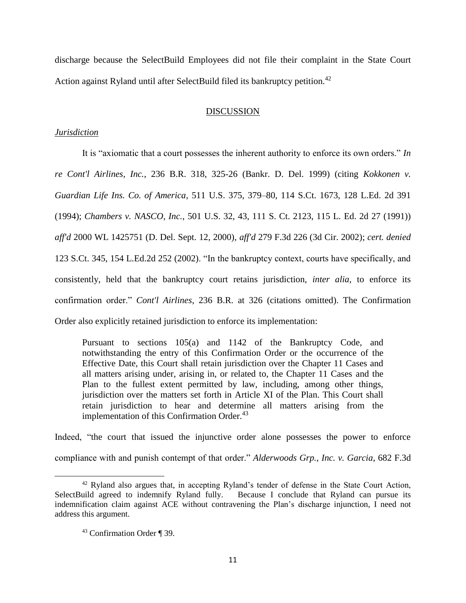discharge because the SelectBuild Employees did not file their complaint in the State Court Action against Ryland until after SelectBuild filed its bankruptcy petition.<sup>42</sup>

#### DISCUSSION

#### *Jurisdiction*

It is "axiomatic that a court possesses the inherent authority to enforce its own orders." *In re Cont'l Airlines, Inc.*, 236 B.R. 318, 325-26 (Bankr. D. Del. 1999) (citing *Kokkonen v. Guardian Life Ins. Co. of America*, 511 U.S. 375, 379–80, 114 S.Ct. 1673, 128 L.Ed. 2d 391 (1994); *Chambers v. NASCO, Inc.*, 501 U.S. 32, 43, 111 S. Ct. 2123, 115 L. Ed. 2d 27 (1991)) *aff'd* 2000 WL 1425751 (D. Del. Sept. 12, 2000), *aff'd* 279 F.3d 226 (3d Cir. 2002); *cert. denied*  123 S.Ct. 345, 154 L.Ed.2d 252 (2002). "In the bankruptcy context, courts have specifically, and consistently, held that the bankruptcy court retains jurisdiction, *inter alia*, to enforce its confirmation order." *Cont'l Airlines*, 236 B.R. at 326 (citations omitted). The Confirmation Order also explicitly retained jurisdiction to enforce its implementation:

Pursuant to sections 105(a) and 1142 of the Bankruptcy Code, and notwithstanding the entry of this Confirmation Order or the occurrence of the Effective Date, this Court shall retain jurisdiction over the Chapter 11 Cases and all matters arising under, arising in, or related to, the Chapter 11 Cases and the Plan to the fullest extent permitted by law, including, among other things, jurisdiction over the matters set forth in Article XI of the Plan. This Court shall retain jurisdiction to hear and determine all matters arising from the implementation of this Confirmation Order. $43$ 

Indeed, "the court that issued the injunctive order alone possesses the power to enforce compliance with and punish contempt of that order." *Alderwoods Grp., Inc. v. Garcia*, 682 F.3d

 $42$  Ryland also argues that, in accepting Ryland's tender of defense in the State Court Action, SelectBuild agreed to indemnify Ryland fully. Because I conclude that Ryland can pursue its Because I conclude that Ryland can pursue its indemnification claim against ACE without contravening the Plan's discharge injunction, I need not address this argument.

<sup>43</sup> Confirmation Order ¶ 39.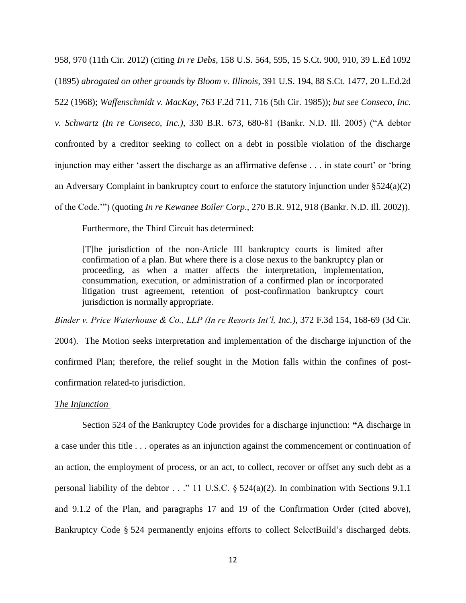958, 970 (11th Cir. 2012) (citing *In re Debs,* 158 U.S. 564, 595, 15 S.Ct. 900, 910, 39 L.Ed 1092 (1895) *abrogated on other grounds by Bloom v. Illinois,* 391 U.S. 194, 88 S.Ct. 1477, 20 L.Ed.2d 522 (1968); *Waffenschmidt v. MacKay,* 763 F.2d 711, 716 (5th Cir. 1985)); *but see Conseco, Inc. v. Schwartz (In re Conseco, Inc.)*, 330 B.R. 673, 680-81 (Bankr. N.D. Ill. 2005) ("A debtor confronted by a creditor seeking to collect on a debt in possible violation of the discharge injunction may either 'assert the discharge as an affirmative defense . . . in state court' or 'bring an Adversary Complaint in bankruptcy court to enforce the statutory injunction under §524(a)(2) of the Code.'") (quoting *In re Kewanee Boiler Corp*., 270 B.R. 912, 918 (Bankr. N.D. Ill. 2002)).

Furthermore, the Third Circuit has determined:

[T]he jurisdiction of the non-Article III bankruptcy courts is limited after confirmation of a plan. But where there is a close nexus to the bankruptcy plan or proceeding, as when a matter affects the interpretation, implementation, consummation, execution, or administration of a confirmed plan or incorporated litigation trust agreement, retention of post-confirmation bankruptcy court jurisdiction is normally appropriate.

*Binder v. Price Waterhouse & Co., LLP (In re Resorts Int'l, Inc.)*, 372 F.3d 154, 168-69 (3d Cir.

2004). The Motion seeks interpretation and implementation of the discharge injunction of the confirmed Plan; therefore, the relief sought in the Motion falls within the confines of postconfirmation related-to jurisdiction.

#### *The Injunction*

Section 524 of the Bankruptcy Code provides for a discharge injunction: **"**A discharge in a case under this title . . . operates as an injunction against the commencement or continuation of an action, the employment of process, or an act, to collect, recover or offset any such debt as a personal liability of the debtor . . ." 11 U.S.C. § 524(a)(2). In combination with Sections 9.1.1 and 9.1.2 of the Plan, and paragraphs 17 and 19 of the Confirmation Order (cited above), Bankruptcy Code § 524 permanently enjoins efforts to collect SelectBuild's discharged debts.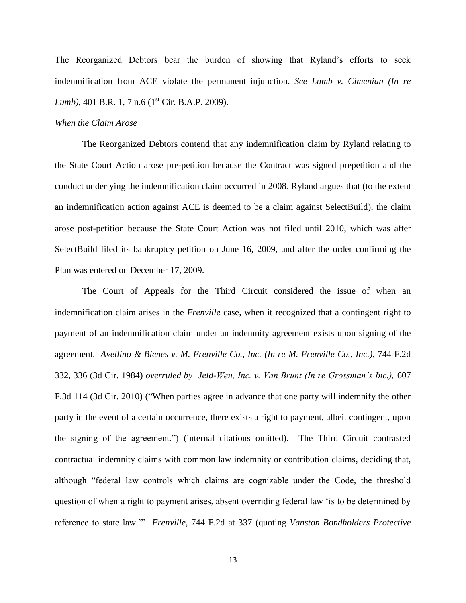The Reorganized Debtors bear the burden of showing that Ryland's efforts to seek indemnification from ACE violate the permanent injunction. *See Lumb v. Cimenian (In re Lumb*), 401 B.R. 1, 7 n.6 (1<sup>st</sup> Cir. B.A.P. 2009).

#### *When the Claim Arose*

The Reorganized Debtors contend that any indemnification claim by Ryland relating to the State Court Action arose pre-petition because the Contract was signed prepetition and the conduct underlying the indemnification claim occurred in 2008. Ryland argues that (to the extent an indemnification action against ACE is deemed to be a claim against SelectBuild), the claim arose post-petition because the State Court Action was not filed until 2010, which was after SelectBuild filed its bankruptcy petition on June 16, 2009, and after the order confirming the Plan was entered on December 17, 2009.

The Court of Appeals for the Third Circuit considered the issue of when an indemnification claim arises in the *Frenville* case, when it recognized that a contingent right to payment of an indemnification claim under an indemnity agreement exists upon signing of the agreement. *Avellino & Bienes v. M. Frenville Co., Inc. (In re M. Frenville Co., Inc.)*, 744 F.2d 332, 336 (3d Cir. 1984) *overruled by Jeld-Wen, Inc. v. Van Brunt (In re Grossman's Inc.),* 607 F.3d 114 (3d Cir. 2010) ("When parties agree in advance that one party will indemnify the other party in the event of a certain occurrence, there exists a right to payment, albeit contingent, upon the signing of the agreement.") (internal citations omitted). The Third Circuit contrasted contractual indemnity claims with common law indemnity or contribution claims, deciding that, although "federal law controls which claims are cognizable under the Code, the threshold question of when a right to payment arises, absent overriding federal law 'is to be determined by reference to state law.'" *Frenville*, 744 F.2d at 337 (quoting *Vanston Bondholders Protective*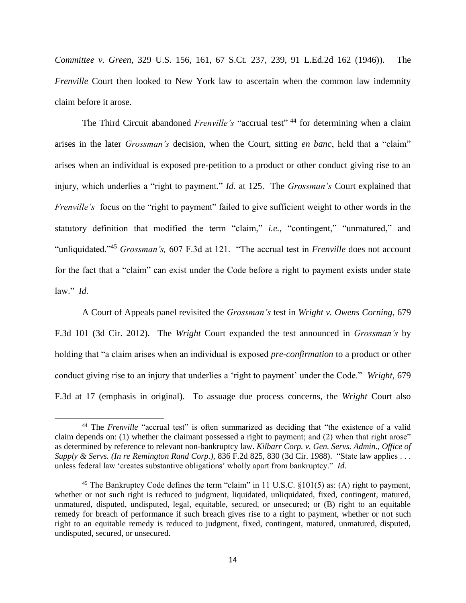*Committee v. Green,* 329 U.S. 156, 161, 67 S.Ct. 237, 239, 91 L.Ed.2d 162 (1946)). The *Frenville* Court then looked to New York law to ascertain when the common law indemnity claim before it arose.

The Third Circuit abandoned *Frenville's* "accrual test"<sup>44</sup> for determining when a claim arises in the later *Grossman's* decision, when the Court, sitting *en banc*, held that a "claim" arises when an individual is exposed pre-petition to a product or other conduct giving rise to an injury, which underlies a "right to payment." *Id.* at 125. The *Grossman's* Court explained that *Frenville's* focus on the "right to payment" failed to give sufficient weight to other words in the statutory definition that modified the term "claim," *i.e.,* "contingent," "unmatured," and "unliquidated."<sup>45</sup> *Grossman's,* 607 F.3d at 121. "The accrual test in *Frenville* does not account for the fact that a "claim" can exist under the Code before a right to payment exists under state law." *Id.* 

A Court of Appeals panel revisited the *Grossman's* test in *Wright v. Owens Corning*, 679 F.3d 101 (3d Cir. 2012). The *Wright* Court expanded the test announced in *Grossman's* by holding that "a claim arises when an individual is exposed *pre-confirmation* to a product or other conduct giving rise to an injury that underlies a 'right to payment' under the Code." *Wright,* 679 F.3d at 17 (emphasis in original). To assuage due process concerns, the *Wright* Court also

<sup>&</sup>lt;sup>44</sup> The *Frenville* "accrual test" is often summarized as deciding that "the existence of a valid claim depends on: (1) whether the claimant possessed a right to payment; and (2) when that right arose" as determined by reference to relevant non-bankruptcy law. *Kilbarr Corp. v. Gen. Servs. Admin., Office of Supply & Servs. (In re Remington Rand Corp.),* 836 F.2d 825, 830 (3d Cir. 1988). "State law applies . . . unless federal law 'creates substantive obligations' wholly apart from bankruptcy." *Id.*

<sup>&</sup>lt;sup>45</sup> The Bankruptcy Code defines the term "claim" in 11 U.S.C. §101(5) as: (A) right to payment, whether or not such right is reduced to judgment, liquidated, unliquidated, fixed, contingent, matured, unmatured, disputed, undisputed, legal, equitable, secured, or unsecured; or (B) right to an equitable remedy for breach of performance if such breach gives rise to a right to payment, whether or not such right to an equitable remedy is reduced to judgment, fixed, contingent, matured, unmatured, disputed, undisputed, secured, or unsecured.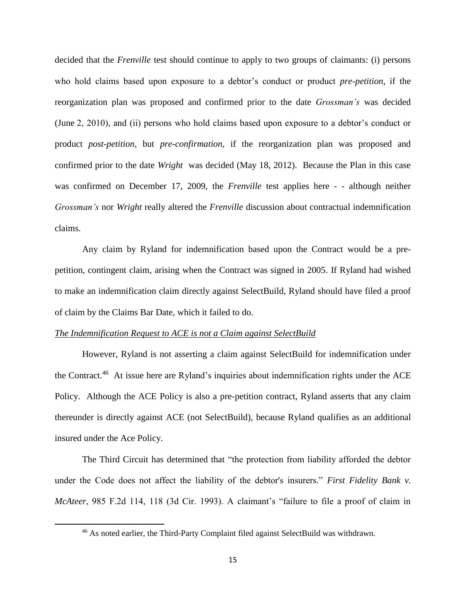decided that the *Frenville* test should continue to apply to two groups of claimants: (i) persons who hold claims based upon exposure to a debtor's conduct or product *pre-petition*, if the reorganization plan was proposed and confirmed prior to the date *Grossman's* was decided (June 2, 2010), and (ii) persons who hold claims based upon exposure to a debtor's conduct or product *post-petition*, but *pre-confirmation*, if the reorganization plan was proposed and confirmed prior to the date *Wright* was decided (May 18, 2012). Because the Plan in this case was confirmed on December 17, 2009, the *Frenville* test applies here - - although neither *Grossman's* nor *Wright* really altered the *Frenville* discussion about contractual indemnification claims.

Any claim by Ryland for indemnification based upon the Contract would be a prepetition, contingent claim, arising when the Contract was signed in 2005. If Ryland had wished to make an indemnification claim directly against SelectBuild, Ryland should have filed a proof of claim by the Claims Bar Date, which it failed to do.

#### *The Indemnification Request to ACE is not a Claim against SelectBuild*

 $\overline{\phantom{a}}$ 

However, Ryland is not asserting a claim against SelectBuild for indemnification under the Contract.<sup>46</sup> At issue here are Ryland's inquiries about indemnification rights under the ACE Policy. Although the ACE Policy is also a pre-petition contract, Ryland asserts that any claim thereunder is directly against ACE (not SelectBuild), because Ryland qualifies as an additional insured under the Ace Policy.

The Third Circuit has determined that "the protection from liability afforded the debtor under the Code does not affect the liability of the debtor's insurers." *First Fidelity Bank v. McAteer*, 985 F.2d 114, 118 (3d Cir. 1993). A claimant's "failure to file a proof of claim in

<sup>&</sup>lt;sup>46</sup> As noted earlier, the Third-Party Complaint filed against SelectBuild was withdrawn.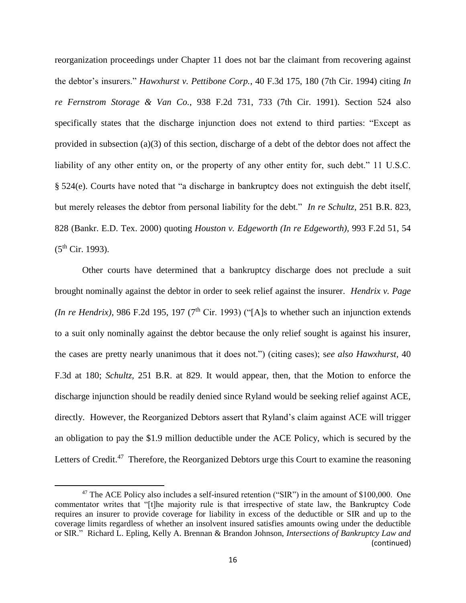reorganization proceedings under Chapter 11 does not bar the claimant from recovering against the debtor's insurers." *Hawxhurst v. Pettibone Corp.*, 40 F.3d 175, 180 (7th Cir. 1994) citing *In re Fernstrom Storage & Van Co.*, 938 F.2d 731, 733 (7th Cir. 1991). Section 524 also specifically states that the discharge injunction does not extend to third parties: "Except as provided in subsection (a)(3) of this section, discharge of a debt of the debtor does not affect the liability of any other entity on, or the property of any other entity for, such debt." 11 U.S.C. § 524(e). Courts have noted that "a discharge in bankruptcy does not extinguish the debt itself, but merely releases the debtor from personal liability for the debt." *In re Schultz,* 251 B.R. 823, 828 (Bankr. E.D. Tex. 2000) quoting *Houston v. Edgeworth (In re Edgeworth),* 993 F.2d 51, 54  $(5^{th}$  Cir. 1993).

Other courts have determined that a bankruptcy discharge does not preclude a suit brought nominally against the debtor in order to seek relief against the insurer. *Hendrix v. Page (In re Hendrix)*, 986 F.2d 195, 197 ( $7<sup>th</sup>$  Cir. 1993) ("[A]s to whether such an injunction extends to a suit only nominally against the debtor because the only relief sought is against his insurer, the cases are pretty nearly unanimous that it does not.") (citing cases); s*ee also Hawxhurst,* 40 F.3d at 180; *Schultz,* 251 B.R. at 829. It would appear, then, that the Motion to enforce the discharge injunction should be readily denied since Ryland would be seeking relief against ACE, directly. However, the Reorganized Debtors assert that Ryland's claim against ACE will trigger an obligation to pay the \$1.9 million deductible under the ACE Policy, which is secured by the Letters of Credit.<sup>47</sup> Therefore, the Reorganized Debtors urge this Court to examine the reasoning

<sup>&</sup>lt;sup>47</sup> The ACE Policy also includes a self-insured retention ("SIR") in the amount of \$100,000. One commentator writes that "[t]he majority rule is that irrespective of state law, the Bankruptcy Code requires an insurer to provide coverage for liability in excess of the deductible or SIR and up to the coverage limits regardless of whether an insolvent insured satisfies amounts owing under the deductible or SIR." Richard L. Epling, Kelly A. Brennan & Brandon Johnson, *Intersections of Bankruptcy Law and*  (continued)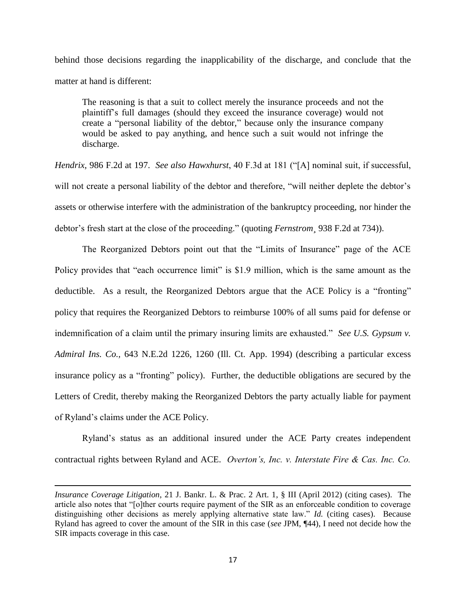behind those decisions regarding the inapplicability of the discharge, and conclude that the matter at hand is different:

The reasoning is that a suit to collect merely the insurance proceeds and not the plaintiff's full damages (should they exceed the insurance coverage) would not create a "personal liability of the debtor," because only the insurance company would be asked to pay anything, and hence such a suit would not infringe the discharge.

*Hendrix*, 986 F.2d at 197. *See also Hawxhurst*, 40 F.3d at 181 ("[A] nominal suit, if successful, will not create a personal liability of the debtor and therefore, "will neither deplete the debtor's assets or otherwise interfere with the administration of the bankruptcy proceeding, nor hinder the debtor's fresh start at the close of the proceeding." (quoting *Fernstrom¸* 938 F.2d at 734)).

The Reorganized Debtors point out that the "Limits of Insurance" page of the ACE Policy provides that "each occurrence limit" is \$1.9 million, which is the same amount as the deductible. As a result, the Reorganized Debtors argue that the ACE Policy is a "fronting" policy that requires the Reorganized Debtors to reimburse 100% of all sums paid for defense or indemnification of a claim until the primary insuring limits are exhausted." *See U.S. Gypsum v. Admiral Ins. Co.,* 643 N.E.2d 1226, 1260 (Ill. Ct. App. 1994) (describing a particular excess insurance policy as a "fronting" policy). Further, the deductible obligations are secured by the Letters of Credit, thereby making the Reorganized Debtors the party actually liable for payment of Ryland's claims under the ACE Policy.

Ryland's status as an additional insured under the ACE Party creates independent contractual rights between Ryland and ACE. *Overton's, Inc. v. Interstate Fire & Cas. Inc. Co.* 

*Insurance Coverage Litigation*, 21 J. Bankr. L. & Prac. 2 Art. 1, § III (April 2012) (citing cases). The article also notes that "[o]ther courts require payment of the SIR as an enforceable condition to coverage distinguishing other decisions as merely applying alternative state law." *Id.* (citing cases). Because Ryland has agreed to cover the amount of the SIR in this case (*see* JPM, ¶44), I need not decide how the SIR impacts coverage in this case.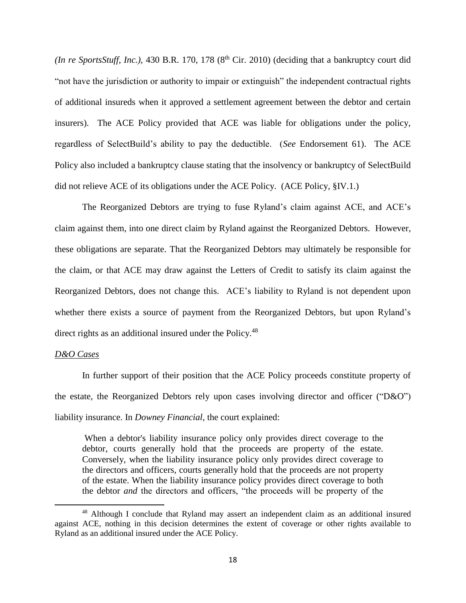*(In re SportsStuff, Inc.),* 430 B.R. 170, 178  $(8<sup>th</sup> Cir. 2010)$  (deciding that a bankruptcy court did "not have the jurisdiction or authority to impair or extinguish" the independent contractual rights of additional insureds when it approved a settlement agreement between the debtor and certain insurers). The ACE Policy provided that ACE was liable for obligations under the policy, regardless of SelectBuild's ability to pay the deductible. (*See* Endorsement 61). The ACE Policy also included a bankruptcy clause stating that the insolvency or bankruptcy of SelectBuild did not relieve ACE of its obligations under the ACE Policy. (ACE Policy, §IV.1.)

The Reorganized Debtors are trying to fuse Ryland's claim against ACE, and ACE's claim against them, into one direct claim by Ryland against the Reorganized Debtors. However, these obligations are separate. That the Reorganized Debtors may ultimately be responsible for the claim, or that ACE may draw against the Letters of Credit to satisfy its claim against the Reorganized Debtors, does not change this. ACE's liability to Ryland is not dependent upon whether there exists a source of payment from the Reorganized Debtors, but upon Ryland's direct rights as an additional insured under the Policy.<sup>48</sup>

#### *D&O Cases*

l

In further support of their position that the ACE Policy proceeds constitute property of the estate, the Reorganized Debtors rely upon cases involving director and officer ("D&O") liability insurance. In *Downey Financial*, the court explained:

When a debtor's liability insurance policy only provides direct coverage to the debtor, courts generally hold that the proceeds are property of the estate. Conversely, when the liability insurance policy only provides direct coverage to the directors and officers, courts generally hold that the proceeds are not property of the estate. When the liability insurance policy provides direct coverage to both the debtor *and* the directors and officers, "the proceeds will be property of the

<sup>48</sup> Although I conclude that Ryland may assert an independent claim as an additional insured against ACE, nothing in this decision determines the extent of coverage or other rights available to Ryland as an additional insured under the ACE Policy.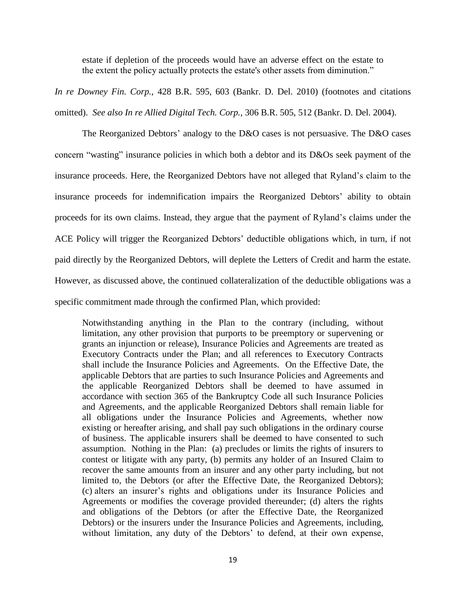estate if depletion of the proceeds would have an adverse effect on the estate to the extent the policy actually protects the estate's other assets from diminution."

*In re Downey Fin. Corp.,* 428 B.R. 595, 603 (Bankr. D. Del. 2010) (footnotes and citations omitted). *See also In re Allied Digital Tech. Corp.,* 306 B.R. 505, 512 (Bankr. D. Del. 2004).

The Reorganized Debtors' analogy to the D&O cases is not persuasive. The D&O cases concern "wasting" insurance policies in which both a debtor and its D&Os seek payment of the insurance proceeds. Here, the Reorganized Debtors have not alleged that Ryland's claim to the insurance proceeds for indemnification impairs the Reorganized Debtors' ability to obtain proceeds for its own claims. Instead, they argue that the payment of Ryland's claims under the ACE Policy will trigger the Reorganized Debtors' deductible obligations which, in turn, if not paid directly by the Reorganized Debtors, will deplete the Letters of Credit and harm the estate. However, as discussed above, the continued collateralization of the deductible obligations was a specific commitment made through the confirmed Plan, which provided:

Notwithstanding anything in the Plan to the contrary (including, without limitation, any other provision that purports to be preemptory or supervening or grants an injunction or release), Insurance Policies and Agreements are treated as Executory Contracts under the Plan; and all references to Executory Contracts shall include the Insurance Policies and Agreements. On the Effective Date, the applicable Debtors that are parties to such Insurance Policies and Agreements and the applicable Reorganized Debtors shall be deemed to have assumed in accordance with section 365 of the Bankruptcy Code all such Insurance Policies and Agreements, and the applicable Reorganized Debtors shall remain liable for all obligations under the Insurance Policies and Agreements, whether now existing or hereafter arising, and shall pay such obligations in the ordinary course of business. The applicable insurers shall be deemed to have consented to such assumption. Nothing in the Plan: (a) precludes or limits the rights of insurers to contest or litigate with any party, (b) permits any holder of an Insured Claim to recover the same amounts from an insurer and any other party including, but not limited to, the Debtors (or after the Effective Date, the Reorganized Debtors); (c) alters an insurer's rights and obligations under its Insurance Policies and Agreements or modifies the coverage provided thereunder; (d) alters the rights and obligations of the Debtors (or after the Effective Date, the Reorganized Debtors) or the insurers under the Insurance Policies and Agreements, including, without limitation, any duty of the Debtors' to defend, at their own expense,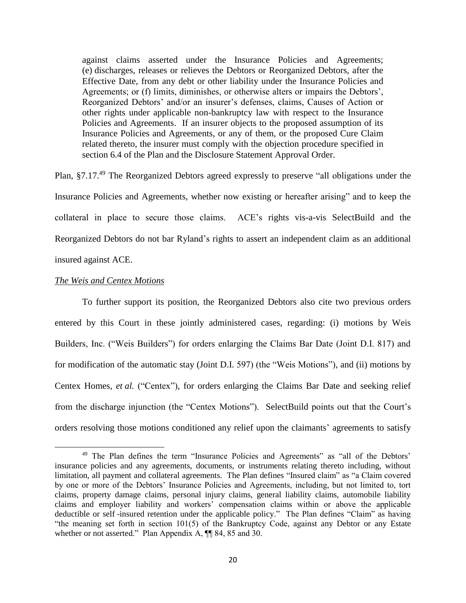against claims asserted under the Insurance Policies and Agreements; (e) discharges, releases or relieves the Debtors or Reorganized Debtors, after the Effective Date, from any debt or other liability under the Insurance Policies and Agreements; or (f) limits, diminishes, or otherwise alters or impairs the Debtors', Reorganized Debtors' and/or an insurer's defenses, claims, Causes of Action or other rights under applicable non-bankruptcy law with respect to the Insurance Policies and Agreements. If an insurer objects to the proposed assumption of its Insurance Policies and Agreements, or any of them, or the proposed Cure Claim related thereto, the insurer must comply with the objection procedure specified in section 6.4 of the Plan and the Disclosure Statement Approval Order.

Plan, §7.17.<sup>49</sup> The Reorganized Debtors agreed expressly to preserve "all obligations under the Insurance Policies and Agreements, whether now existing or hereafter arising" and to keep the collateral in place to secure those claims. ACE's rights vis-a-vis SelectBuild and the Reorganized Debtors do not bar Ryland's rights to assert an independent claim as an additional insured against ACE.

#### *The Weis and Centex Motions*

 $\overline{a}$ 

To further support its position, the Reorganized Debtors also cite two previous orders entered by this Court in these jointly administered cases, regarding: (i) motions by Weis Builders, Inc. ("Weis Builders") for orders enlarging the Claims Bar Date (Joint D.I. 817) and for modification of the automatic stay (Joint D.I. 597) (the "Weis Motions"), and (ii) motions by Centex Homes, *et al.* ("Centex"), for orders enlarging the Claims Bar Date and seeking relief from the discharge injunction (the "Centex Motions"). SelectBuild points out that the Court's orders resolving those motions conditioned any relief upon the claimants' agreements to satisfy

<sup>&</sup>lt;sup>49</sup> The Plan defines the term "Insurance Policies and Agreements" as "all of the Debtors' insurance policies and any agreements, documents, or instruments relating thereto including, without limitation, all payment and collateral agreements. The Plan defines "Insured claim" as "a Claim covered by one or more of the Debtors' Insurance Policies and Agreements, including, but not limited to, tort claims, property damage claims, personal injury claims, general liability claims, automobile liability claims and employer liability and workers' compensation claims within or above the applicable deductible or self -insured retention under the applicable policy." The Plan defines "Claim" as having "the meaning set forth in section 101(5) of the Bankruptcy Code, against any Debtor or any Estate whether or not asserted." Plan Appendix A,  $\P$  84, 85 and 30.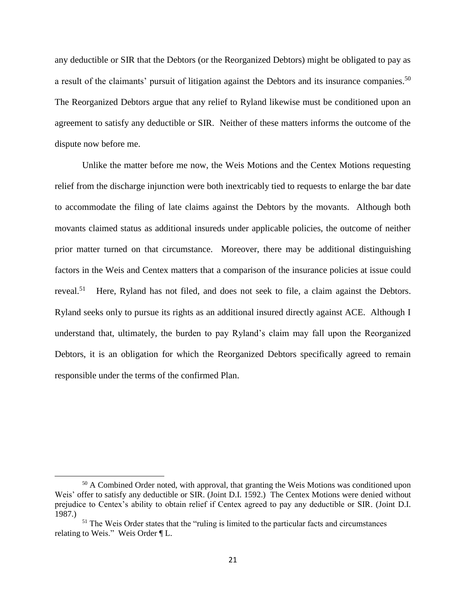any deductible or SIR that the Debtors (or the Reorganized Debtors) might be obligated to pay as a result of the claimants' pursuit of litigation against the Debtors and its insurance companies.<sup>50</sup> The Reorganized Debtors argue that any relief to Ryland likewise must be conditioned upon an agreement to satisfy any deductible or SIR. Neither of these matters informs the outcome of the dispute now before me.

Unlike the matter before me now, the Weis Motions and the Centex Motions requesting relief from the discharge injunction were both inextricably tied to requests to enlarge the bar date to accommodate the filing of late claims against the Debtors by the movants. Although both movants claimed status as additional insureds under applicable policies, the outcome of neither prior matter turned on that circumstance. Moreover, there may be additional distinguishing factors in the Weis and Centex matters that a comparison of the insurance policies at issue could reveal.<sup>51</sup> Here, Ryland has not filed, and does not seek to file, a claim against the Debtors. Ryland seeks only to pursue its rights as an additional insured directly against ACE. Although I understand that, ultimately, the burden to pay Ryland's claim may fall upon the Reorganized Debtors, it is an obligation for which the Reorganized Debtors specifically agreed to remain responsible under the terms of the confirmed Plan.

<sup>&</sup>lt;sup>50</sup> A Combined Order noted, with approval, that granting the Weis Motions was conditioned upon Weis' offer to satisfy any deductible or SIR. (Joint D.I. 1592.) The Centex Motions were denied without prejudice to Centex's ability to obtain relief if Centex agreed to pay any deductible or SIR. (Joint D.I. 1987.)

<sup>&</sup>lt;sup>51</sup> The Weis Order states that the "ruling is limited to the particular facts and circumstances relating to Weis." Weis Order ¶ L.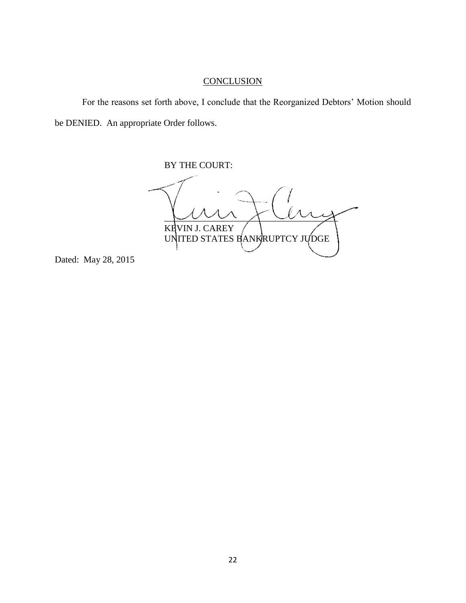# **CONCLUSION**

For the reasons set forth above, I conclude that the Reorganized Debtors' Motion should be DENIED. An appropriate Order follows.

BY THE COURT:

 $\sim$ KEVIN J. CAREY UNITED STATES BANKRUPTCY JUDGE

Dated: May 28, 2015